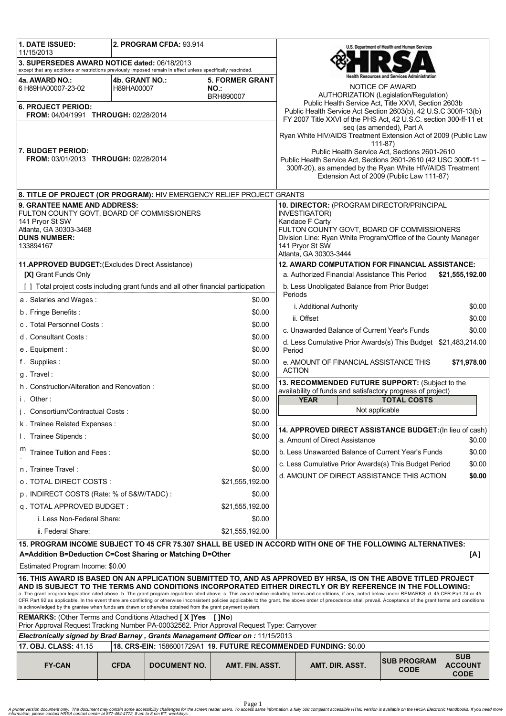| 1. DATE ISSUED:                                                                                                                                                                                                                                                                                                                                                                                                                                                                                                                                |                              | 2. PROGRAM CFDA: 93.914 |                               |                                                          |                                                                                                                                | U.S. Department of Health and Human Services |                                             |
|------------------------------------------------------------------------------------------------------------------------------------------------------------------------------------------------------------------------------------------------------------------------------------------------------------------------------------------------------------------------------------------------------------------------------------------------------------------------------------------------------------------------------------------------|------------------------------|-------------------------|-------------------------------|----------------------------------------------------------|--------------------------------------------------------------------------------------------------------------------------------|----------------------------------------------|---------------------------------------------|
| 11/15/2013<br>3. SUPERSEDES AWARD NOTICE dated: 06/18/2013                                                                                                                                                                                                                                                                                                                                                                                                                                                                                     |                              |                         |                               |                                                          |                                                                                                                                |                                              |                                             |
| except that any additions or restrictions previously imposed remain in effect unless specifically rescinded.                                                                                                                                                                                                                                                                                                                                                                                                                                   |                              |                         |                               |                                                          |                                                                                                                                | h Resources and Services Administration      |                                             |
| 4a. AWARD NO.:<br>6 H89HA00007-23-02                                                                                                                                                                                                                                                                                                                                                                                                                                                                                                           | 4b. GRANT NO.:<br>H89HA00007 |                         | <b>5. FORMER GRANT</b><br>NO. |                                                          |                                                                                                                                | NOTICE OF AWARD                              |                                             |
| <b>BRH890007</b>                                                                                                                                                                                                                                                                                                                                                                                                                                                                                                                               |                              |                         |                               |                                                          | AUTHORIZATION (Legislation/Regulation)<br>Public Health Service Act, Title XXVI, Section 2603b                                 |                                              |                                             |
| <b>6. PROJECT PERIOD:</b><br>FROM: 04/04/1991 THROUGH: 02/28/2014                                                                                                                                                                                                                                                                                                                                                                                                                                                                              |                              |                         |                               |                                                          | Public Health Service Act Section 2603(b), 42 U.S.C 300ff-13(b)                                                                |                                              |                                             |
|                                                                                                                                                                                                                                                                                                                                                                                                                                                                                                                                                |                              |                         |                               |                                                          | FY 2007 Title XXVI of the PHS Act, 42 U.S.C. section 300-ff-11 et                                                              | seg (as amended), Part A                     |                                             |
|                                                                                                                                                                                                                                                                                                                                                                                                                                                                                                                                                |                              |                         |                               |                                                          | Ryan White HIV/AIDS Treatment Extension Act of 2009 (Public Law                                                                |                                              |                                             |
| <b>7. BUDGET PERIOD:</b>                                                                                                                                                                                                                                                                                                                                                                                                                                                                                                                       |                              |                         |                               |                                                          | Public Health Service Act, Sections 2601-2610                                                                                  | $111 - 87$                                   |                                             |
| FROM: 03/01/2013 THROUGH: 02/28/2014                                                                                                                                                                                                                                                                                                                                                                                                                                                                                                           |                              |                         |                               |                                                          | Public Health Service Act, Sections 2601-2610 (42 USC 300ff-11 -<br>300ff-20), as amended by the Ryan White HIV/AIDS Treatment |                                              |                                             |
|                                                                                                                                                                                                                                                                                                                                                                                                                                                                                                                                                |                              |                         |                               |                                                          | Extension Act of 2009 (Public Law 111-87)                                                                                      |                                              |                                             |
| 8. TITLE OF PROJECT (OR PROGRAM): HIV EMERGENCY RELIEF PROJECT GRANTS                                                                                                                                                                                                                                                                                                                                                                                                                                                                          |                              |                         |                               |                                                          |                                                                                                                                |                                              |                                             |
| 9. GRANTEE NAME AND ADDRESS:                                                                                                                                                                                                                                                                                                                                                                                                                                                                                                                   |                              |                         |                               |                                                          | 10. DIRECTOR: (PROGRAM DIRECTOR/PRINCIPAL                                                                                      |                                              |                                             |
| FULTON COUNTY GOVT, BOARD OF COMMISSIONERS<br>141 Pryor St SW                                                                                                                                                                                                                                                                                                                                                                                                                                                                                  |                              |                         |                               | INVESTIGATOR)<br>Kandace F Carty                         |                                                                                                                                |                                              |                                             |
| Atlanta, GA 30303-3468                                                                                                                                                                                                                                                                                                                                                                                                                                                                                                                         |                              |                         |                               |                                                          | FULTON COUNTY GOVT, BOARD OF COMMISSIONERS                                                                                     |                                              |                                             |
| <b>DUNS NUMBER:</b><br>133894167                                                                                                                                                                                                                                                                                                                                                                                                                                                                                                               |                              |                         |                               |                                                          | Division Line: Ryan White Program/Office of the County Manager<br>141 Pryor St SW                                              |                                              |                                             |
|                                                                                                                                                                                                                                                                                                                                                                                                                                                                                                                                                |                              |                         |                               | Atlanta, GA 30303-3444                                   |                                                                                                                                |                                              |                                             |
| 11.APPROVED BUDGET: (Excludes Direct Assistance)                                                                                                                                                                                                                                                                                                                                                                                                                                                                                               |                              |                         |                               |                                                          | 12. AWARD COMPUTATION FOR FINANCIAL ASSISTANCE:                                                                                |                                              |                                             |
| [X] Grant Funds Only                                                                                                                                                                                                                                                                                                                                                                                                                                                                                                                           |                              |                         |                               |                                                          | a. Authorized Financial Assistance This Period                                                                                 |                                              | \$21,555,192.00                             |
| [ ] Total project costs including grant funds and all other financial participation                                                                                                                                                                                                                                                                                                                                                                                                                                                            |                              |                         | \$0.00                        | b. Less Unobligated Balance from Prior Budget<br>Periods |                                                                                                                                |                                              |                                             |
| a. Salaries and Wages:<br>b. Fringe Benefits:                                                                                                                                                                                                                                                                                                                                                                                                                                                                                                  |                              |                         | \$0.00                        |                                                          | i. Additional Authority                                                                                                        |                                              | \$0.00                                      |
| c. Total Personnel Costs:                                                                                                                                                                                                                                                                                                                                                                                                                                                                                                                      |                              |                         | \$0.00                        |                                                          | ii. Offset                                                                                                                     |                                              | \$0.00                                      |
| d. Consultant Costs:                                                                                                                                                                                                                                                                                                                                                                                                                                                                                                                           |                              |                         | \$0.00                        |                                                          | c. Unawarded Balance of Current Year's Funds                                                                                   |                                              | \$0.00                                      |
| e. Equipment:                                                                                                                                                                                                                                                                                                                                                                                                                                                                                                                                  |                              |                         | \$0.00                        | Period                                                   | d. Less Cumulative Prior Awards(s) This Budget \$21,483,214.00                                                                 |                                              |                                             |
| f. Supplies:                                                                                                                                                                                                                                                                                                                                                                                                                                                                                                                                   |                              |                         | \$0.00                        |                                                          | e. AMOUNT OF FINANCIAL ASSISTANCE THIS                                                                                         |                                              | \$71,978.00                                 |
| g. Travel:                                                                                                                                                                                                                                                                                                                                                                                                                                                                                                                                     |                              |                         | \$0.00                        |                                                          | <b>ACTION</b>                                                                                                                  |                                              |                                             |
| h. Construction/Alteration and Renovation:                                                                                                                                                                                                                                                                                                                                                                                                                                                                                                     |                              |                         | \$0.00                        |                                                          | 13. RECOMMENDED FUTURE SUPPORT: (Subject to the                                                                                |                                              |                                             |
| i. Other:                                                                                                                                                                                                                                                                                                                                                                                                                                                                                                                                      |                              |                         | \$0.00                        |                                                          | availability of funds and satisfactory progress of project)<br><b>YEAR</b>                                                     | <b>TOTAL COSTS</b>                           |                                             |
| i. Consortium/Contractual Costs:                                                                                                                                                                                                                                                                                                                                                                                                                                                                                                               |                              |                         | \$0.00                        |                                                          | Not applicable                                                                                                                 |                                              |                                             |
| k. Trainee Related Expenses:                                                                                                                                                                                                                                                                                                                                                                                                                                                                                                                   |                              |                         | \$0.00                        | 14. APPROVED DIRECT ASSISTANCE BUDGET: (In lieu of cash) |                                                                                                                                |                                              |                                             |
| I. Trainee Stipends:                                                                                                                                                                                                                                                                                                                                                                                                                                                                                                                           |                              |                         | \$0.00                        |                                                          | a. Amount of Direct Assistance                                                                                                 |                                              | \$0.00                                      |
| m<br>Trainee Tuition and Fees:                                                                                                                                                                                                                                                                                                                                                                                                                                                                                                                 |                              |                         | \$0.00                        |                                                          | b. Less Unawarded Balance of Current Year's Funds                                                                              |                                              | \$0.00                                      |
| n. Trainee Travel:                                                                                                                                                                                                                                                                                                                                                                                                                                                                                                                             |                              |                         | \$0.00                        |                                                          | c. Less Cumulative Prior Awards(s) This Budget Period                                                                          |                                              | \$0.00                                      |
| o . TOTAL DIRECT COSTS :                                                                                                                                                                                                                                                                                                                                                                                                                                                                                                                       |                              |                         | \$21,555,192.00               |                                                          | d. AMOUNT OF DIRECT ASSISTANCE THIS ACTION                                                                                     |                                              | \$0.00                                      |
| p. INDIRECT COSTS (Rate: % of S&W/TADC):                                                                                                                                                                                                                                                                                                                                                                                                                                                                                                       |                              |                         | \$0.00                        |                                                          |                                                                                                                                |                                              |                                             |
| q. TOTAL APPROVED BUDGET:                                                                                                                                                                                                                                                                                                                                                                                                                                                                                                                      |                              |                         | \$21,555,192.00               |                                                          |                                                                                                                                |                                              |                                             |
| i. Less Non-Federal Share:<br>\$0.00                                                                                                                                                                                                                                                                                                                                                                                                                                                                                                           |                              |                         |                               |                                                          |                                                                                                                                |                                              |                                             |
| ii. Federal Share:<br>\$21,555,192.00                                                                                                                                                                                                                                                                                                                                                                                                                                                                                                          |                              |                         |                               |                                                          |                                                                                                                                |                                              |                                             |
| 15. PROGRAM INCOME SUBJECT TO 45 CFR 75.307 SHALL BE USED IN ACCORD WITH ONE OF THE FOLLOWING ALTERNATIVES:                                                                                                                                                                                                                                                                                                                                                                                                                                    |                              |                         |                               |                                                          |                                                                                                                                |                                              |                                             |
| A=Addition B=Deduction C=Cost Sharing or Matching D=Other<br>[A]                                                                                                                                                                                                                                                                                                                                                                                                                                                                               |                              |                         |                               |                                                          |                                                                                                                                |                                              |                                             |
| Estimated Program Income: \$0.00                                                                                                                                                                                                                                                                                                                                                                                                                                                                                                               |                              |                         |                               |                                                          |                                                                                                                                |                                              |                                             |
|                                                                                                                                                                                                                                                                                                                                                                                                                                                                                                                                                |                              |                         |                               |                                                          | 16. THIS AWARD IS BASED ON AN APPLICATION SUBMITTED TO, AND AS APPROVED BY HRSA, IS ON THE ABOVE TITLED PROJECT                |                                              |                                             |
| AND IS SUBJECT TO THE TERMS AND CONDITIONS INCORPORATED EITHER DIRECTLY OR BY REFERENCE IN THE FOLLOWING:<br>a. The grant program legislation cited above. b. The grant program regulation cited above. c. This award notice including terms and conditions, if any, noted below under REMARKS. d. 45 CFR Part 74 or 45<br>CFR Part 92 as applicable. In the event there are conflicting or otherwise inconsistent policies applicable to the grant, the above order of precedence shall prevail. Acceptance of the grant terms and conditions |                              |                         |                               |                                                          |                                                                                                                                |                                              |                                             |
| is acknowledged by the grantee when funds are drawn or otherwise obtained from the grant payment system.                                                                                                                                                                                                                                                                                                                                                                                                                                       |                              |                         |                               |                                                          |                                                                                                                                |                                              |                                             |
| <b>REMARKS:</b> (Other Terms and Conditions Attached [X]Yes<br>[ ]No)<br>Prior Approval Request Tracking Number PA-00032562. Prior Approval Request Type: Carryover                                                                                                                                                                                                                                                                                                                                                                            |                              |                         |                               |                                                          |                                                                                                                                |                                              |                                             |
| Electronically signed by Brad Barney, Grants Management Officer on: 11/15/2013                                                                                                                                                                                                                                                                                                                                                                                                                                                                 |                              |                         |                               |                                                          |                                                                                                                                |                                              |                                             |
| 18. CRS-EIN: 1586001729A1 19. FUTURE RECOMMENDED FUNDING: \$0.00<br>17. OBJ. CLASS: 41.15                                                                                                                                                                                                                                                                                                                                                                                                                                                      |                              |                         |                               |                                                          |                                                                                                                                |                                              |                                             |
| <b>FY-CAN</b>                                                                                                                                                                                                                                                                                                                                                                                                                                                                                                                                  | <b>CFDA</b>                  | <b>DOCUMENT NO.</b>     | AMT. FIN. ASST.               |                                                          | AMT. DIR. ASST.                                                                                                                | <b>SUB PROGRAM</b><br><b>CODE</b>            | <b>SUB</b><br><b>ACCOUNT</b><br><b>CODE</b> |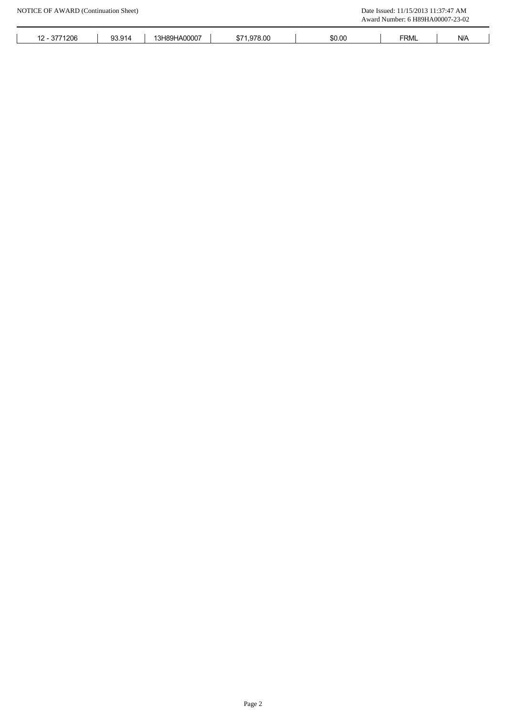|              |        |              |             |        | Award Number: 6 H89HA00007-23-02 |                         |
|--------------|--------|--------------|-------------|--------|----------------------------------|-------------------------|
| 12 - 3771206 | 93.914 | 13H89HA00007 | \$71,978.00 | \$0.00 | <b>FRML</b>                      | $\mathsf{N}/\mathsf{A}$ |
|              |        |              |             |        |                                  |                         |
|              |        |              |             |        |                                  |                         |
|              |        |              |             |        |                                  |                         |
|              |        |              |             |        |                                  |                         |
|              |        |              |             |        |                                  |                         |
|              |        |              |             |        |                                  |                         |
|              |        |              |             |        |                                  |                         |
|              |        |              |             |        |                                  |                         |
|              |        |              |             |        |                                  |                         |
|              |        |              |             |        |                                  |                         |
|              |        |              |             |        |                                  |                         |
|              |        |              |             |        |                                  |                         |
|              |        |              |             |        |                                  |                         |
|              |        |              |             |        |                                  |                         |
|              |        |              |             |        |                                  |                         |
|              |        |              |             |        |                                  |                         |
|              |        |              |             |        |                                  |                         |
|              |        |              |             |        |                                  |                         |
|              |        |              |             |        |                                  |                         |
|              |        |              |             |        |                                  |                         |
|              |        |              |             |        |                                  |                         |
|              |        |              |             |        |                                  |                         |
|              |        |              |             |        |                                  |                         |
|              |        |              |             |        |                                  |                         |
|              |        |              |             |        |                                  |                         |
|              |        |              |             |        |                                  |                         |
|              |        |              |             |        |                                  |                         |
|              |        |              |             |        |                                  |                         |
|              |        |              |             |        |                                  |                         |
|              |        |              |             |        |                                  |                         |
|              |        |              |             |        |                                  |                         |
|              |        |              |             |        |                                  |                         |
|              |        |              |             |        |                                  |                         |
|              |        |              |             |        |                                  |                         |
|              |        |              |             |        |                                  |                         |
|              |        |              |             |        |                                  |                         |
|              |        |              |             |        |                                  |                         |
|              |        |              |             |        |                                  |                         |
|              |        |              |             |        |                                  |                         |
|              |        |              |             |        |                                  |                         |
|              |        |              |             |        |                                  |                         |
|              |        |              |             |        |                                  |                         |
|              |        |              |             |        |                                  |                         |
|              |        |              |             |        |                                  |                         |
|              |        |              |             |        |                                  |                         |
|              |        |              |             |        |                                  |                         |
|              |        |              |             |        |                                  |                         |
|              |        |              |             |        |                                  |                         |
|              |        |              |             |        |                                  |                         |
|              |        |              |             |        |                                  |                         |
|              |        |              |             |        |                                  |                         |
|              |        |              | Page 2      |        |                                  |                         |